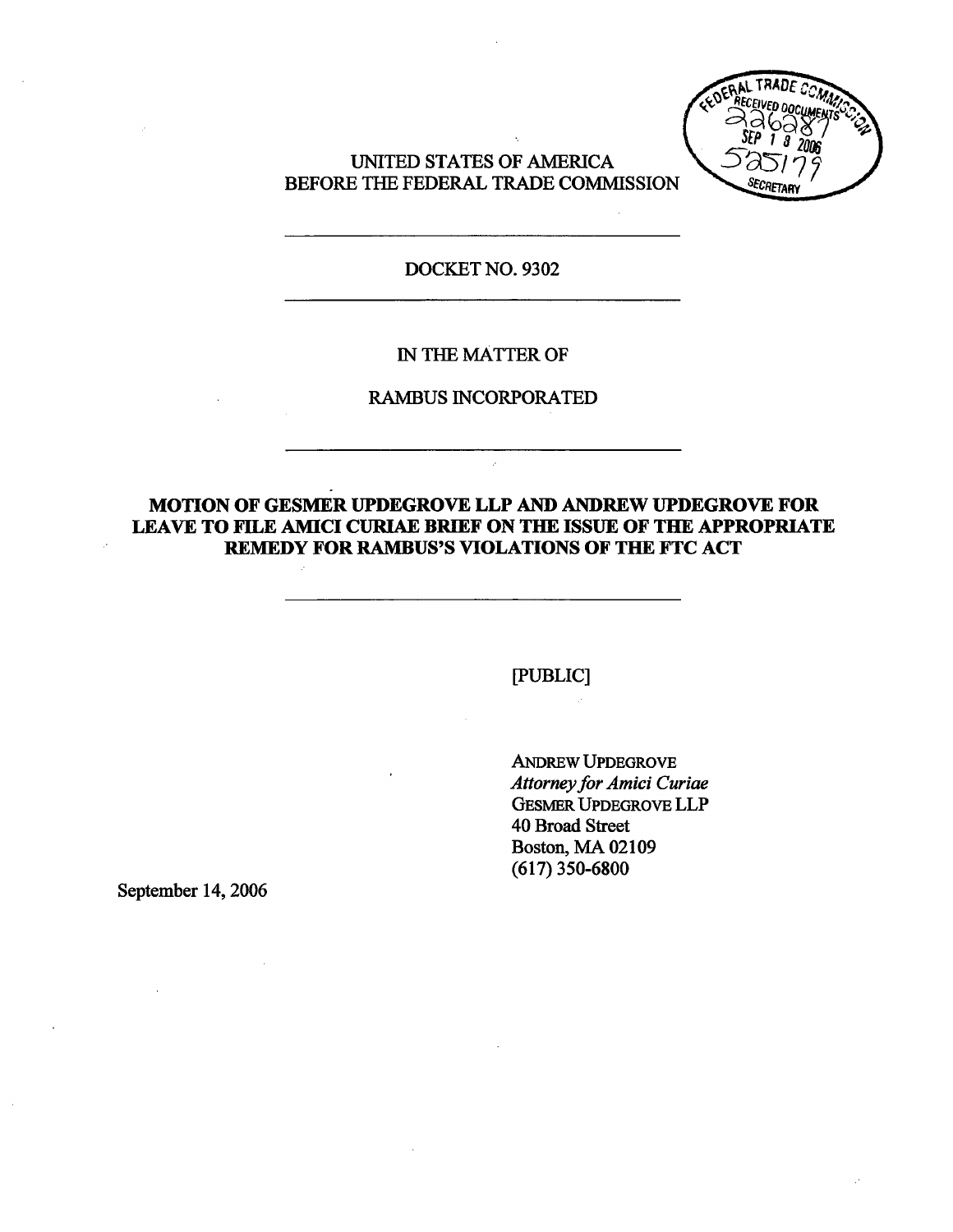UNTED STATES OF AMRICA BEFORE THE FEDERAL TRADE COMMISSION



## DOCKET NO. 9302

#### IN THE MATTER OF

# RAMBUS INCORPORATED

# MOTION OF GESMER UPDEGROVE LLP AND ANDREW UPDEGROVE FOR LEAVE TO FILE AMICI CURIAE BRIEF ON THE ISSUE OF THE APPROPRIATE REMEDY FOR RAMBUS'S VIOLATIONS OF THE FTC ACT

(PUBLIC)

ANREW UPDEGROVE Attorney for Amici Curiae GESMER UPDEGROVE LLP 40 Broad Street Boston, MA 02109 (617) 350-6800

September 14, 2006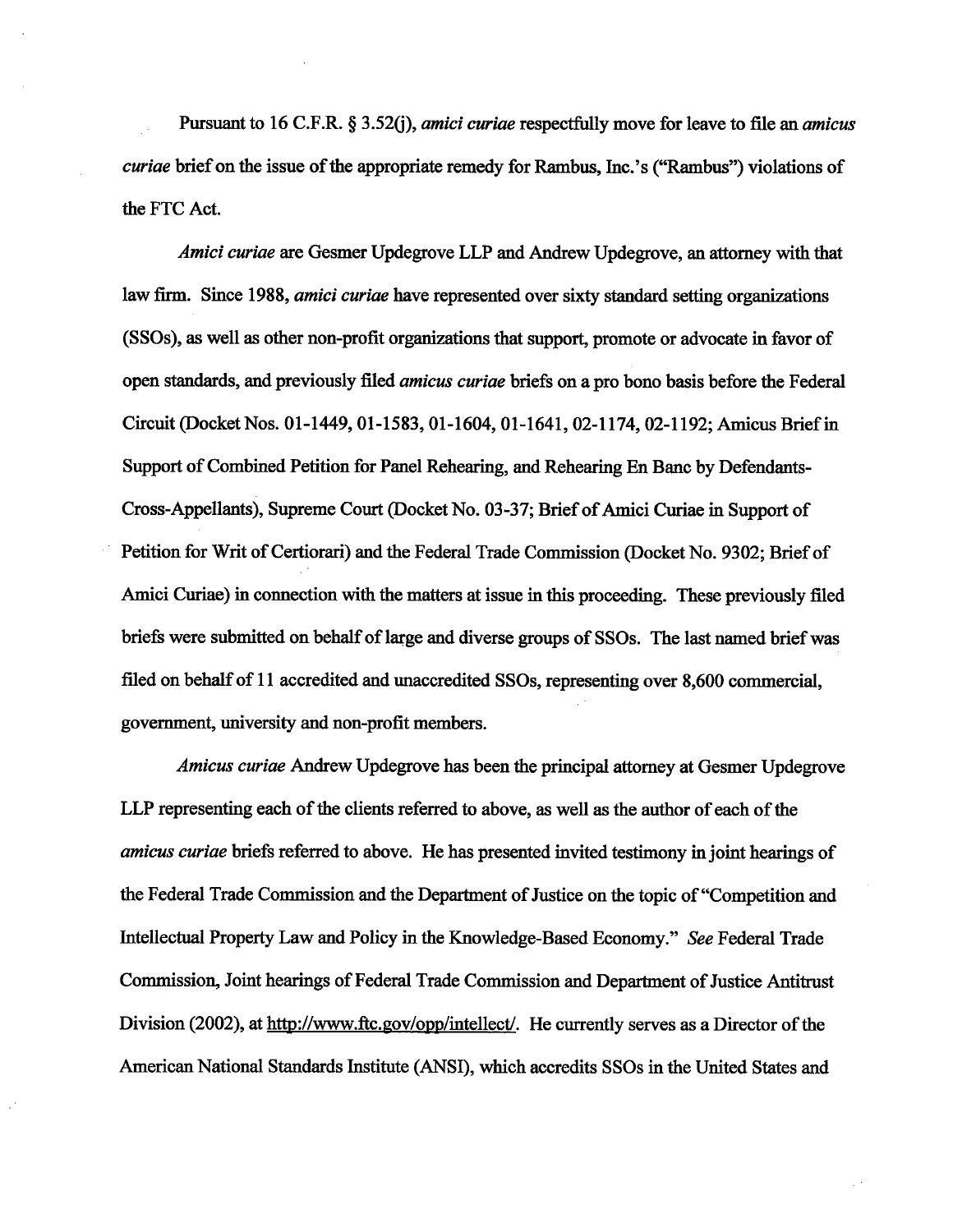Pursuant to 16 C.F.R.  $\S 3.52(i)$ , *amici curiae* respectfully move for leave to file an *amicus* curiae brief on the issue of the appropriate remedy for Rambus, Inc.'s ("Rambus") violations of the FTC Act.

Amici curiae are Gesmer Updegrove LLP and Andrew Updegrove, an attorney with that law firm. Since 1988, *amici curiae* have represented over sixty standard setting organizations (SSOs), as well as other non-profit organizations that support, promote or advocate in favor of open standards, and previously filed *amicus curiae* briefs on a pro bono basis before the Federal Circuit (Docket Nos. 01-1449, 01-1583, 01- 1604, 01- 1641 , 02- 1174, 02-1192; Amcus Brief in Support of Combined Petition for Panel Rehearing, and Rehearing En Banc by Defendants-Cross-Appellants), Supreme Court (Docket No. 03-37; Brief of Amici Curiae in Support of Petition for Writ of Certiorari) and the Federal Trade Commission (Docket No. 9302; Brief of Amici Curiae) in connection with the matters at issue in this proceeding. These previously filed briefs were submitted on behalf of large and diverse groups of SSOs. The last named brief was filed on behalf of 11 accredited and unaccredited SSOs, representing over 8,600 commercial, government, university and non-profit members.

Amicus curiae Andrew Updegrove has been the principal attorney at Gesmer Updegrove LLP representing each of the clients referred to above, as well as the author of each of the amicus curiae briefs referred to above. He has presented invited testimony in joint hearings of the Federal Trade Commission and the Department of Justice on the topic of "Competition and Intellectual Property Law and Policy in the Knowledge-Based Economy." See Federal Trade Commission, Joint hearings of Federal Trade Commission and Department of Justice Antitrust Division (2002), at http://www.ftc.gov/opp/intellect/. He currently serves as a Director of the American National Stadards Intitute (ANSI), which accredits SSOs in the United States and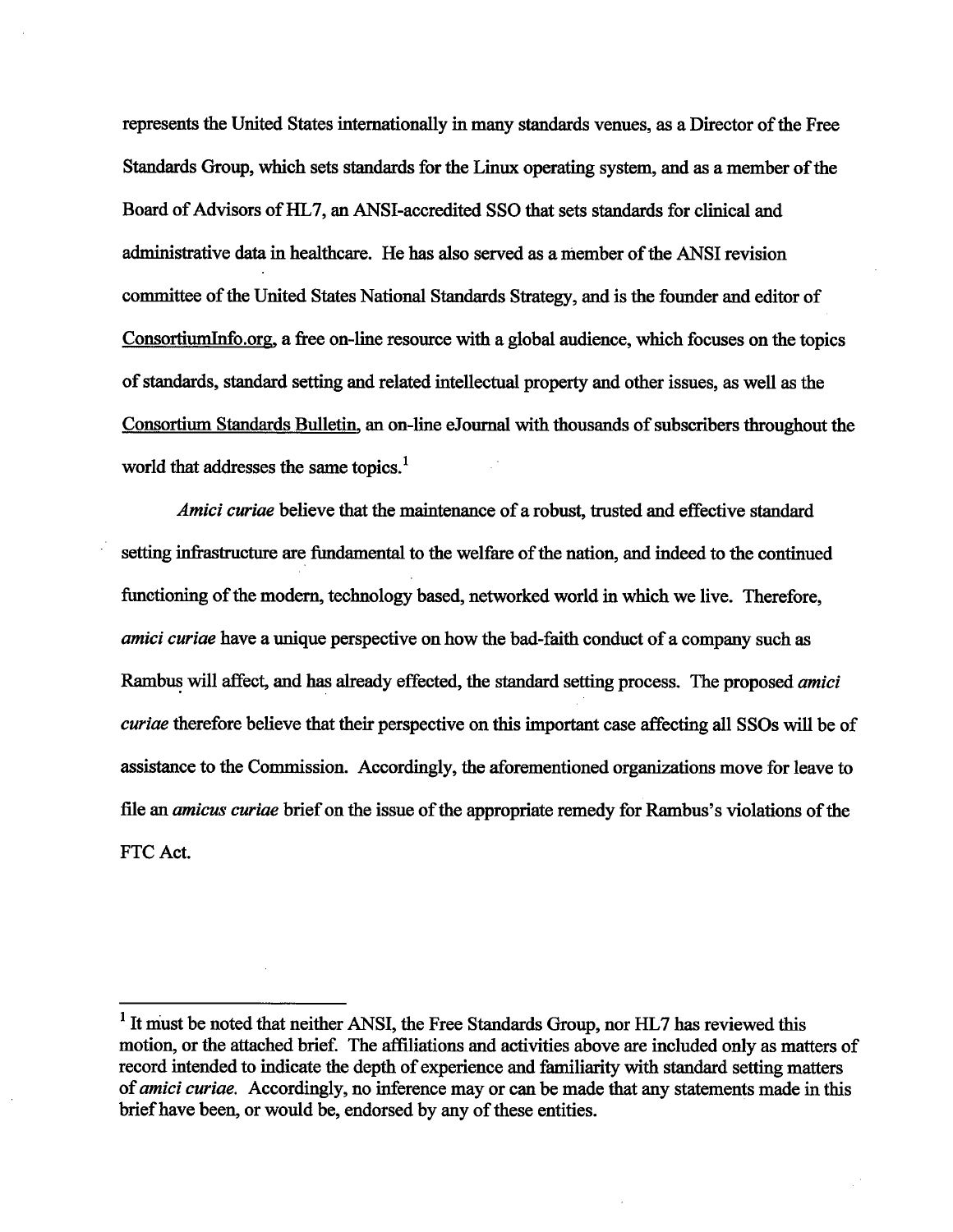represents the United States internationally in many standards venues, as a Director of the Free Standards Group, which sets standards for the Linux operating system, and as a member of the Board of Advisors of HL7, an ANSI-accredited SSO that sets standards for clinical and administrative data in healthcare. He has also served as a member of the ANSI revision committee of the United States National Standards Strategy, and is the founder and editor of Consortium Info.org, a free on-line resource with a global audience, which focuses on the topics of standards, standard setting and related intellectual property and other issues, as well as the Consortium Stadads Bulletin an on-line eJoumal with thousands of subscribers thoughout the world that addresses the same topics.<sup>1</sup>

Amici curiae believe that the maintenance of a robust, trusted and effective standard setting infrastructure are fundamental to the welfare of the nation, and indeed to the continued functioning of the modern, technology based, networked world in which we live. Therefore, amici curiae have a unique perspective on how the bad-faith conduct of a company such as Rambus will affect, and has already effected, the standard setting process. The proposed *amici* curiae therefore believe that their perspective on this important case affecting all SSOs will be of assistance to the Commission. Accordingly, the aforementioned organizations move for leave to file an *amicus curiae* brief on the issue of the appropriate remedy for Rambus's violations of the FTC Act.

 $<sup>1</sup>$  It must be noted that neither ANSI, the Free Standards Group, nor HL7 has reviewed this</sup> motion, or the attached brief. The affiliations and activities above are included only as matters of record intended to indicate the depth of experience and familiarity with standard setting matters of *amici curiae*. Accordingly, no inference may or can be made that any statements made in this brief have been, or would be, endorsed by any of these entities.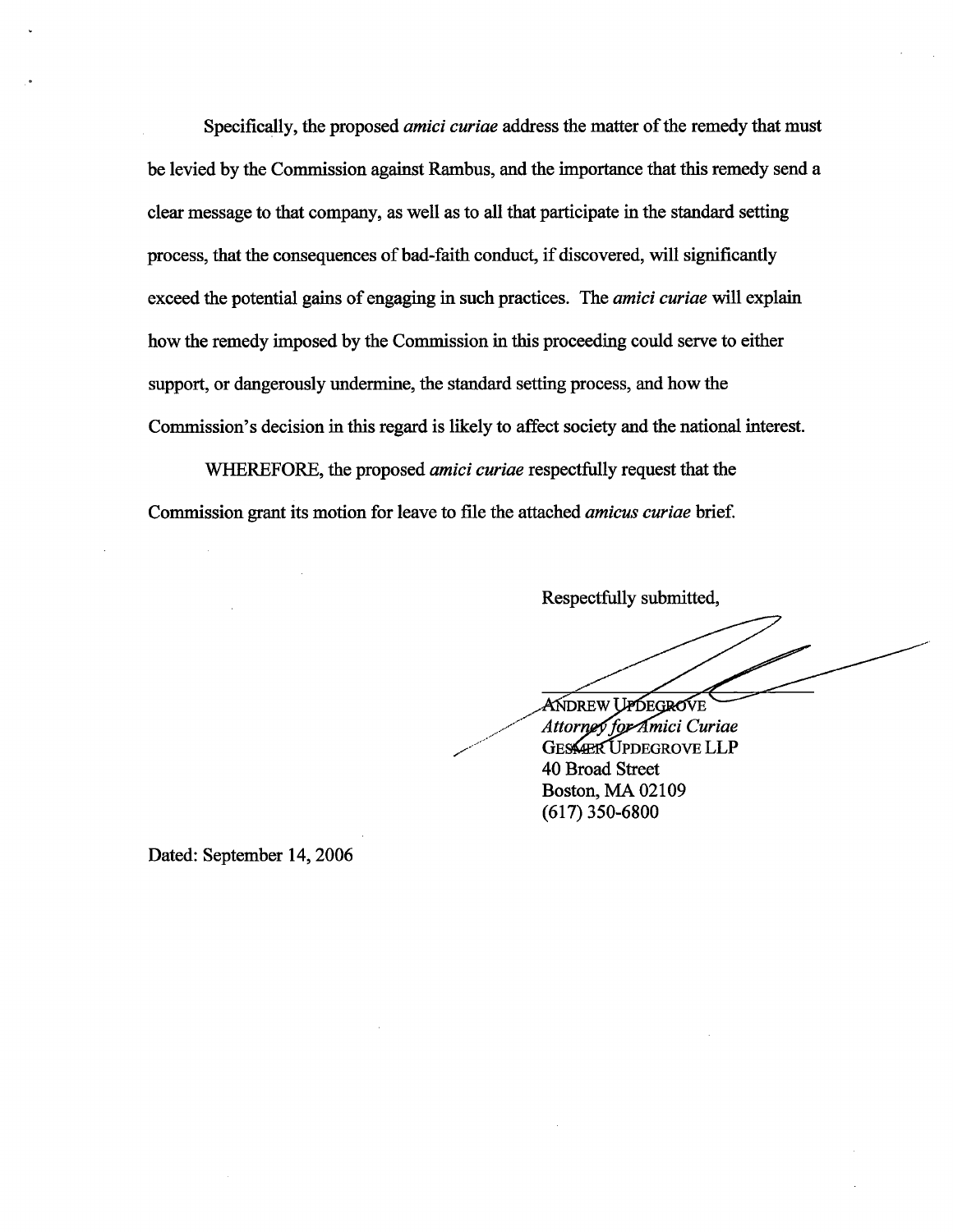Specifically, the proposed *amici curiae* address the matter of the remedy that must be levied by the Commission against Rambus, and the importance that this remedy send a clear message to that company, as well as to all that participate in the standard setting process, that the consequences of bad-faith conduct, if discovered, will signficantly exceed the potential gains of engaging in such practices. The *amici curiae* will explain how the remedy imposed by the Commission in this proceeding could serve to either support, or dangerously undermine, the standard setting process, and how the Commission's decision in this regard is likely to affect society and the national interest.

WHEREFORE, the proposed *amici curiae* respectfully request that the Commission grant its motion for leave to file the attached *amicus curiae* brief.

Respectfully submitted,

ANDREW UPDEGROVE Attorney for Amici Curiae **GESSARR UPDEGROVE LLP 40 Broad Street Boston, MA 02109**  $(617)$  350-6800

Dated: September 14, 2006